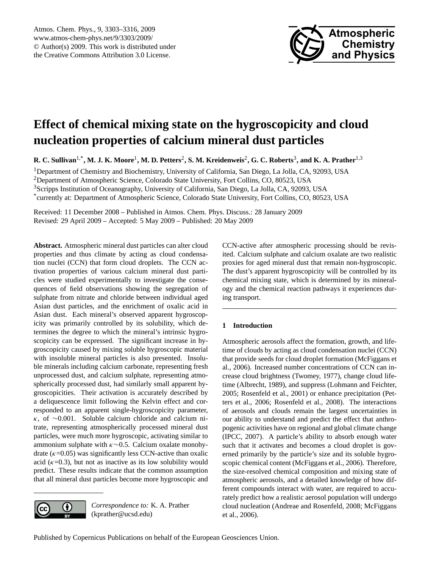

# <span id="page-0-0"></span>**Effect of chemical mixing state on the hygroscopicity and cloud nucleation properties of calcium mineral dust particles**

**R. C. Sullivan**1,\***, M. J. K. Moore**<sup>1</sup> **, M. D. Petters**<sup>2</sup> **, S. M. Kreidenweis**<sup>2</sup> **, G. C. Roberts**<sup>3</sup> **, and K. A. Prather**1,3

<sup>1</sup>Department of Chemistry and Biochemistry, University of California, San Diego, La Jolla, CA, 92093, USA

<sup>2</sup>Department of Atmospheric Science, Colorado State University, Fort Collins, CO, 80523, USA

<sup>3</sup>Scripps Institution of Oceanography, University of California, San Diego, La Jolla, CA, 92093, USA

\* currently at: Department of Atmospheric Science, Colorado State University, Fort Collins, CO, 80523, USA

Received: 11 December 2008 – Published in Atmos. Chem. Phys. Discuss.: 28 January 2009 Revised: 29 April 2009 – Accepted: 5 May 2009 – Published: 20 May 2009

**Abstract.** Atmospheric mineral dust particles can alter cloud properties and thus climate by acting as cloud condensation nuclei (CCN) that form cloud droplets. The CCN activation properties of various calcium mineral dust particles were studied experimentally to investigate the consequences of field observations showing the segregation of sulphate from nitrate and chloride between individual aged Asian dust particles, and the enrichment of oxalic acid in Asian dust. Each mineral's observed apparent hygroscopicity was primarily controlled by its solubility, which determines the degree to which the mineral's intrinsic hygroscopicity can be expressed. The significant increase in hygroscopicity caused by mixing soluble hygroscopic material with insoluble mineral particles is also presented. Insoluble minerals including calcium carbonate, representing fresh unprocessed dust, and calcium sulphate, representing atmospherically processed dust, had similarly small apparent hygroscopicities. Their activation is accurately described by a deliquescence limit following the Kelvin effect and corresponded to an apparent single-hygroscopicity parameter, κ, of ∼0.001. Soluble calcium chloride and calcium nitrate, representing atmospherically processed mineral dust particles, were much more hygroscopic, activating similar to ammonium sulphate with κ∼0.5. Calcium oxalate monohydrate  $(\kappa=0.05)$  was significantly less CCN-active than oxalic acid ( $\kappa$ =0.3), but not as inactive as its low solubility would predict. These results indicate that the common assumption that all mineral dust particles become more hygroscopic and



*Correspondence to:* K. A. Prather (kprather@ucsd.edu)

CCN-active after atmospheric processing should be revisited. Calcium sulphate and calcium oxalate are two realistic proxies for aged mineral dust that remain non-hygroscopic. The dust's apparent hygroscopicity will be controlled by its chemical mixing state, which is determined by its mineralogy and the chemical reaction pathways it experiences during transport.

# **1 Introduction**

Atmospheric aerosols affect the formation, growth, and lifetime of clouds by acting as cloud condensation nuclei (CCN) that provide seeds for cloud droplet formation (McFiggans et al., 2006). Increased number concentrations of CCN can increase cloud brightness (Twomey, 1977), change cloud lifetime (Albrecht, 1989), and suppress (Lohmann and Feichter, 2005; Rosenfeld et al., 2001) or enhance precipitation (Petters et al., 2006; Rosenfeld et al., 2008). The interactions of aerosols and clouds remain the largest uncertainties in our ability to understand and predict the effect that anthropogenic activities have on regional and global climate change (IPCC, 2007). A particle's ability to absorb enough water such that it activates and becomes a cloud droplet is governed primarily by the particle's size and its soluble hygroscopic chemical content (McFiggans et al., 2006). Therefore, the size-resolved chemical composition and mixing state of atmospheric aerosols, and a detailed knowledge of how different compounds interact with water, are required to accurately predict how a realistic aerosol population will undergo cloud nucleation (Andreae and Rosenfeld, 2008; McFiggans et al., 2006).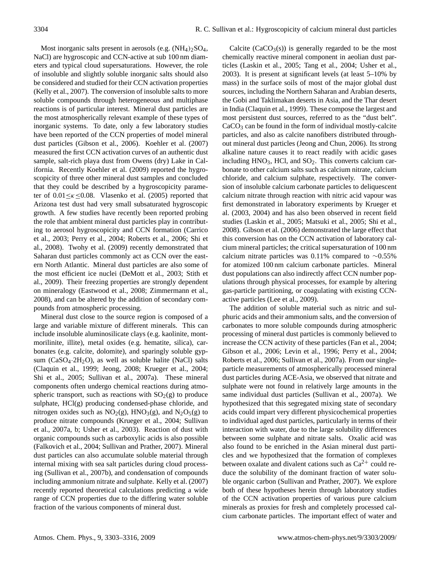Most inorganic salts present in aerosols (e.g.  $(NH_4)_2SO_4$ , NaCl) are hygroscopic and CCN-active at sub 100 nm diameters and typical cloud supersaturations. However, the role of insoluble and slightly soluble inorganic salts should also be considered and studied for their CCN activation properties (Kelly et al., 2007). The conversion of insoluble salts to more soluble compounds through heterogeneous and multiphase reactions is of particular interest. Mineral dust particles are the most atmospherically relevant example of these types of inorganic systems. To date, only a few laboratory studies have been reported of the CCN properties of model mineral dust particles (Gibson et al., 2006). Koehler et al. (2007) measured the first CCN activation curves of an authentic dust sample, salt-rich playa dust from Owens (dry) Lake in California. Recently Koehler et al. (2009) reported the hygroscopicity of three other mineral dust samples and concluded that they could be described by a hygroscopicity parameter of  $0.01 \le \kappa \le 0.08$ . Vlasenko et al. (2005) reported that Arizona test dust had very small subsaturated hygroscopic growth. A few studies have recently been reported probing the role that ambient mineral dust particles play in contributing to aerosol hygroscopicity and CCN formation (Carrico et al., 2003; Perry et al., 2004; Roberts et al., 2006; Shi et al., 2008). Twohy et al. (2009) recently demonstrated that Saharan dust particles commonly act as CCN over the eastern North Atlantic. Mineral dust particles are also some of the most efficient ice nuclei (DeMott et al., 2003; Stith et al., 2009). Their freezing properties are strongly dependent on mineralogy (Eastwood et al., 2008; Zimmermann et al., 2008), and can be altered by the addition of secondary compounds from atmospheric processing.

Mineral dust close to the source region is composed of a large and variable mixture of different minerals. This can include insoluble aluminosilicate clays (e.g. kaolinite, montmorilinite, illite), metal oxides (e.g. hematite, silica), carbonates (e.g. calcite, dolomite), and sparingly soluble gypsum ( $CaSO_4 \tcdot 2H_2O$ ), as well as soluble halite (NaCl) salts (Claquin et al., 1999; Jeong, 2008; Krueger et al., 2004; Shi et al., 2005; Sullivan et al., 2007a). These mineral components often undergo chemical reactions during atmospheric transport, such as reactions with  $SO<sub>2</sub>(g)$  to produce sulphate, HCl(g) producing condensed-phase chloride, and nitrogen oxides such as  $NO<sub>2</sub>(g)$ ,  $HNO<sub>3</sub>(g)$ , and  $N<sub>2</sub>O<sub>5</sub>(g)$  to produce nitrate compounds (Krueger et al., 2004; Sullivan et al., 2007a, b; Usher et al., 2003). Reaction of dust with organic compounds such as carboxylic acids is also possible (Falkovich et al., 2004; Sullivan and Prather, 2007). Mineral dust particles can also accumulate soluble material through internal mixing with sea salt particles during cloud processing (Sullivan et al., 2007b), and condensation of compounds including ammonium nitrate and sulphate. Kelly et al. (2007) recently reported theoretical calculations predicting a wide range of CCN properties due to the differing water soluble fraction of the various components of mineral dust.

Calcite  $(CaCO<sub>3</sub>(s))$  is generally regarded to be the most chemically reactive mineral component in aeolian dust particles (Laskin et al., 2005; Tang et al., 2004; Usher et al., 2003). It is present at significant levels (at least 5–10% by mass) in the surface soils of most of the major global dust sources, including the Northern Saharan and Arabian deserts, the Gobi and Taklimakan deserts in Asia, and the Thar desert in India (Claquin et al., 1999). These compose the largest and most persistent dust sources, referred to as the "dust belt".  $CaCO<sub>3</sub>$  can be found in the form of individual mostly-calcite particles, and also as calcite nanofibers distributed throughout mineral dust particles (Jeong and Chun, 2006). Its strong alkaline nature causes it to react readily with acidic gases including  $HNO<sub>3</sub>$ , HCl, and  $SO<sub>2</sub>$ . This converts calcium carbonate to other calcium salts such as calcium nitrate, calcium chloride, and calcium sulphate, respectively. The conversion of insoluble calcium carbonate particles to deliquescent calcium nitrate through reaction with nitric acid vapour was first demonstrated in laboratory experiments by Krueger et al. (2003, 2004) and has also been observed in recent field studies (Laskin et al., 2005; Matsuki et al., 2005; Shi et al., 2008). Gibson et al. (2006) demonstrated the large effect that this conversion has on the CCN activation of laboratory calcium mineral particles; the critical supersaturation of 100 nm calcium nitrate particles was 0.11% compared to ∼0.55% for atomized 100 nm calcium carbonate particles. Mineral dust populations can also indirectly affect CCN number populations through physical processes, for example by altering gas-particle partitioning, or coagulating with existing CCNactive particles (Lee et al., 2009).

The addition of soluble material such as nitric and sulphuric acids and their ammonium salts, and the conversion of carbonates to more soluble compounds during atmospheric processing of mineral dust particles is commonly believed to increase the CCN activity of these particles (Fan et al., 2004; Gibson et al., 2006; Levin et al., 1996; Perry et al., 2004; Roberts et al., 2006; Sullivan et al., 2007a). From our singleparticle measurements of atmospherically processed mineral dust particles during ACE-Asia, we observed that nitrate and sulphate were not found in relatively large amounts in the same individual dust particles (Sullivan et al., 2007a). We hypothesized that this segregated mixing state of secondary acids could impart very different physicochemical properties to individual aged dust particles, particularly in terms of their interaction with water, due to the large solubility differences between some sulphate and nitrate salts. Oxalic acid was also found to be enriched in the Asian mineral dust particles and we hypothesized that the formation of complexes between oxalate and divalent cations such as  $Ca^{2+}$  could reduce the solubility of the dominant fraction of water soluble organic carbon (Sullivan and Prather, 2007). We explore both of these hypotheses herein through laboratory studies of the CCN activation properties of various pure calcium minerals as proxies for fresh and completely processed calcium carbonate particles. The important effect of water and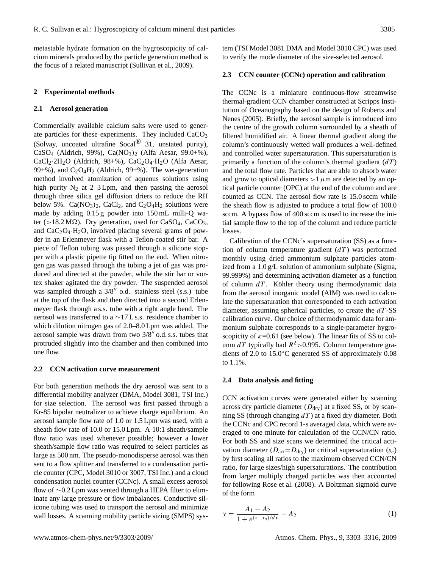metastable hydrate formation on the hygroscopicity of calcium minerals produced by the particle generation method is the focus of a related manuscript (Sullivan et al., 2009).

# **2 Experimental methods**

# **2.1 Aerosol generation**

Commercially available calcium salts were used to generate particles for these experiments. They included CaCO<sub>3</sub> (Solvay, uncoated ultrafine Socal® 31, unstated purity), CaSO<sub>4</sub> (Aldrich, 99%), Ca(NO<sub>3</sub>)<sub>2</sub> (Alfa Aesar, 99.0+%),  $CaCl<sub>2</sub>·2H<sub>2</sub>O$  (Aldrich, 98+%),  $CaC<sub>2</sub>O<sub>4</sub>·H<sub>2</sub>O$  (Alfa Aesar, 99+%), and  $C_2O_4H_2$  (Aldrich, 99+%). The wet-generation method involved atomization of aqueous solutions using high purity  $N_2$  at 2–3 Lpm, and then passing the aerosol through three silica gel diffusion driers to reduce the RH below 5%.  $Ca(NO<sub>3</sub>)<sub>2</sub>$ ,  $CaCl<sub>2</sub>$ , and  $C<sub>2</sub>O<sub>4</sub>H<sub>2</sub>$  solutions were made by adding 0.15 g powder into 150 mL milli-Q water (>18.2 M $\Omega$ ). Dry generation, used for CaSO<sub>4</sub>, CaCO<sub>3</sub>, and  $CaC<sub>2</sub>O<sub>4</sub>·H<sub>2</sub>O$ , involved placing several grams of powder in an Erlenmeyer flask with a Teflon-coated stir bar. A piece of Teflon tubing was passed through a silicone stopper with a plastic pipette tip fitted on the end. When nitrogen gas was passed through the tubing a jet of gas was produced and directed at the powder, while the stir bar or vortex shaker agitated the dry powder. The suspended aerosol was sampled through a  $3/8''$  o.d. stainless steel (s.s.) tube at the top of the flask and then directed into a second Erlenmeyer flask through a s.s. tube with a right angle bend. The aerosol was transferred to a ∼17 L s.s. residence chamber to which dilution nitrogen gas of 2.0–8.0 Lpm was added. The aerosol sample was drawn from two 3/8" o.d. s.s. tubes that protruded slightly into the chamber and then combined into one flow.

### **2.2 CCN activation curve measurement**

For both generation methods the dry aerosol was sent to a differential mobility analyzer (DMA, Model 3081, TSI Inc.) for size selection. The aerosol was first passed through a Kr-85 bipolar neutralizer to achieve charge equilibrium. An aerosol sample flow rate of 1.0 or 1.5 Lpm was used, with a sheath flow rate of 10.0 or 15.0 Lpm. A 10:1 sheath/sample flow ratio was used whenever possible; however a lower sheath/sample flow ratio was required to select particles as large as 500 nm. The pseudo-monodisperse aerosol was then sent to a flow splitter and transferred to a condensation particle counter (CPC, Model 3010 or 3007, TSI Inc.) and a cloud condensation nuclei counter (CCNc). A small excess aerosol flow of ∼0.2 Lpm was vented through a HEPA filter to eliminate any large pressure or flow imbalances. Conductive silicone tubing was used to transport the aerosol and minimize wall losses. A scanning mobility particle sizing (SMPS) system (TSI Model 3081 DMA and Model 3010 CPC) was used to verify the mode diameter of the size-selected aerosol.

## **2.3 CCN counter (CCNc) operation and calibration**

The CCNc is a miniature continuous-flow streamwise thermal-gradient CCN chamber constructed at Scripps Institution of Oceanography based on the design of Roberts and Nenes (2005). Briefly, the aerosol sample is introduced into the centre of the growth column surrounded by a sheath of filtered humidified air. A linear thermal gradient along the column's continuously wetted wall produces a well-defined and controlled water supersaturation. This supersaturation is primarily a function of the column's thermal gradient  $(dT)$ and the total flow rate. Particles that are able to absorb water and grow to optical diameters  $>1 \mu$ m are detected by an optical particle counter (OPC) at the end of the column and are counted as CCN. The aerosol flow rate is 15.0 sccm while the sheath flow is adjusted to produce a total flow of 100.0 sccm. A bypass flow of 400 sccm is used to increase the initial sample flow to the top of the column and reduce particle losses.

Calibration of the CCNc's supersaturation (SS) as a function of column temperature gradient  $dT$ ) was performed monthly using dried ammonium sulphate particles atomized from a 1.0 g/L solution of ammonium sulphate (Sigma, 99.999%) and determining activation diameter as a function of column  $dT$ . Köhler theory using thermodynamic data from the aerosol inorganic model (AIM) was used to calculate the supersaturation that corresponded to each activation diameter, assuming spherical particles, to create the  $dT$ -SS calibration curve. Our choice of thermodynamic data for ammonium sulphate corresponds to a single-parameter hygroscopicity of  $\kappa$ =0.61 (see below). The linear fits of SS to column  $dT$  typically had  $R^2 > 0.995$ . Column temperature gradients of 2.0 to 15.0◦C generated SS of approximately 0.08 to 1.1%.

### **2.4 Data analysis and fitting**

CCN activation curves were generated either by scanning across dry particle diameter  $(D_{\text{dry}})$  at a fixed SS, or by scanning SS (through changing  $dT$ ) at a fixed dry diameter. Both the CCNc and CPC record 1-s averaged data, which were averaged to one minute for calculation of the CCN/CN ratio. For both SS and size scans we determined the critical activation diameter ( $D_{\text{act}}=D_{\text{dry}}$ ) or critical supersaturation (s<sub>c</sub>) by first scaling all ratios to the maximum observed CCN/CN ratio, for large sizes/high supersaturations. The contribution from larger multiply charged particles was then accounted for following Rose et al. (2008). A Boltzman sigmoid curve of the form

$$
y = \frac{A_1 - A_2}{1 + e^{(x - x_o)/dx}} - A_2
$$
 (1)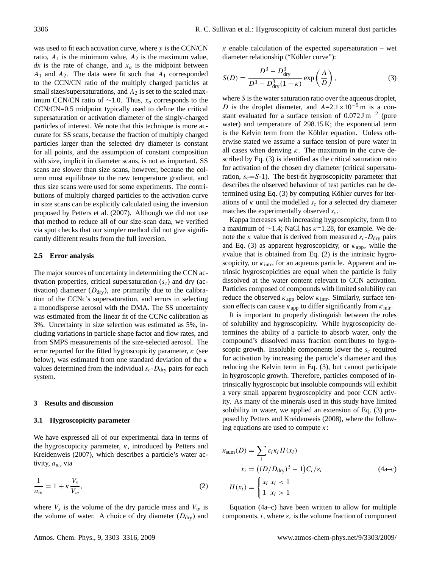was used to fit each activation curve, where y is the CCN/CN ratio,  $A_1$  is the minimum value,  $A_2$  is the maximum value,  $dx$  is the rate of change, and  $x<sub>o</sub>$  is the midpoint between  $A_1$  and  $A_2$ . The data were fit such that  $A_1$  corresponded to the CCN/CN ratio of the multiply charged particles at small sizes/supersaturations, and  $A_2$  is set to the scaled maximum CCN/CN ratio of  $\sim$ 1.0. Thus,  $x<sub>o</sub>$  corresponds to the CCN/CN=0.5 midpoint typically used to define the critical supersaturation or activation diameter of the singly-charged particles of interest. We note that this technique is more accurate for SS scans, because the fraction of multiply charged particles larger than the selected dry diameter is constant for all points, and the assumption of constant composition with size, implicit in diameter scans, is not as important. SS scans are slower than size scans, however, because the column must equilibrate to the new temperature gradient, and thus size scans were used for some experiments. The contributions of multiply charged particles to the activation curve in size scans can be explicitly calculated using the inversion proposed by Petters et al. (2007). Although we did not use that method to reduce all of our size-scan data, we verified via spot checks that our simpler method did not give significantly different results from the full inversion.

# **2.5 Error analysis**

The major sources of uncertainty in determining the CCN activation properties, critical supersaturation  $(s_c)$  and dry (activation) diameter  $(D_{\text{dry}})$ , are primarily due to the calibration of the CCNc's supersaturation, and errors in selecting a monodisperse aerosol with the DMA. The SS uncertainty was estimated from the linear fit of the CCNc calibration as 3%. Uncertainty in size selection was estimated as 5%, including variations in particle shape factor and flow rates, and from SMPS measurements of the size-selected aerosol. The error reported for the fitted hygroscopicity parameter,  $\kappa$  (see below), was estimated from one standard deviation of the  $\kappa$ values determined from the individual  $s_c$ - $D_{\text{dry}}$  pairs for each system.

#### **3 Results and discussion**

# **3.1 Hygroscopicity parameter**

We have expressed all of our experimental data in terms of the hygroscopicity parameter,  $\kappa$ , introduced by Petters and Kreidenweis (2007), which describes a particle's water activity,  $a_w$ , via

$$
\frac{1}{a_w} = 1 + \kappa \frac{V_s}{V_w},\tag{2}
$$

where  $V_s$  is the volume of the dry particle mass and  $V_w$  is the volume of water. A choice of dry diameter  $(D_{\text{dry}})$  and  $\kappa$  enable calculation of the expected supersaturation – wet diameter relationship ("Köhler curve"):

$$
S(D) = \frac{D^3 - D_{\text{dry}}^3}{D^3 - D_{\text{dry}}^3 (1 - \kappa)} \exp\left(\frac{A}{D}\right),
$$
 (3)

where  $S$  is the water saturation ratio over the aqueous droplet, D is the droplet diameter, and  $A=2.1\times10^{-9}$  m is a constant evaluated for a surface tension of  $0.072 \text{ J m}^{-2}$  (pure water) and temperature of 298.15 K; the exponential term is the Kelvin term from the Köhler equation. Unless otherwise stated we assume a surface tension of pure water in all cases when deriving  $\kappa$ . The maximum in the curve described by Eq. (3) is identified as the critical saturation ratio for activation of the chosen dry diameter (critical supersaturation,  $s_c = S-1$ ). The best-fit hygroscopicity parameter that describes the observed behaviour of test particles can be determined using Eq.  $(3)$  by computing Köhler curves for iterations of  $\kappa$  until the modelled  $s_c$  for a selected dry diameter matches the experimentally observed  $s_c$ .

Kappa increases with increasing hygroscopicity, from 0 to a maximum of  $\sim$ 1.4; NaCl has  $\kappa$ =1.28, for example. We denote the  $\kappa$  value that is derived from measured  $s_c$ - $D_{\text{dry}}$  pairs and Eq. (3) as apparent hygroscopicity, or  $\kappa_{\text{app}}$ , while the  $\kappa$  value that is obtained from Eq. (2) is the intrinsic hygroscopicity, or  $\kappa_{\text{intr}}$ , for an aqueous particle. Apparent and intrinsic hygroscopicities are equal when the particle is fully dissolved at the water content relevant to CCN activation. Particles composed of compounds with limited solubility can reduce the observed  $\kappa_{app}$  below  $\kappa_{intr}$ . Similarly, surface tension effects can cause  $\kappa_{app}$  to differ significantly from  $\kappa_{intr}$ .

It is important to properly distinguish between the roles of solubility and hygroscopicity. While hygroscopicity determines the ability of a particle to absorb water, only the compound's dissolved mass fraction contributes to hygroscopic growth. Insoluble components lower the  $s_c$  required for activation by increasing the particle's diameter and thus reducing the Kelvin term in Eq. (3), but cannot participate in hygroscopic growth. Therefore, particles composed of intrinsically hygroscopic but insoluble compounds will exhibit a very small apparent hygroscopicity and poor CCN activity. As many of the minerals used in this study have limited solubility in water, we applied an extension of Eq. (3) proposed by Petters and Kreidenweis (2008), where the following equations are used to compute  $\kappa$ :

$$
\kappa_{\text{sum}}(D) = \sum_{i} \varepsilon_{i} \kappa_{i} H(x_{i})
$$

$$
x_{i} = ((D/D_{\text{dry}})^{3} - 1) C_{i} / \varepsilon_{i}
$$

$$
H(x_{i}) = \begin{cases} x_{i} & x_{i} < 1 \\ 1 & x_{i} > 1 \end{cases}
$$
(4a-c)

Equation (4a–c) have been written to allow for multiple components, *i*, where  $\varepsilon_i$  is the volume fraction of component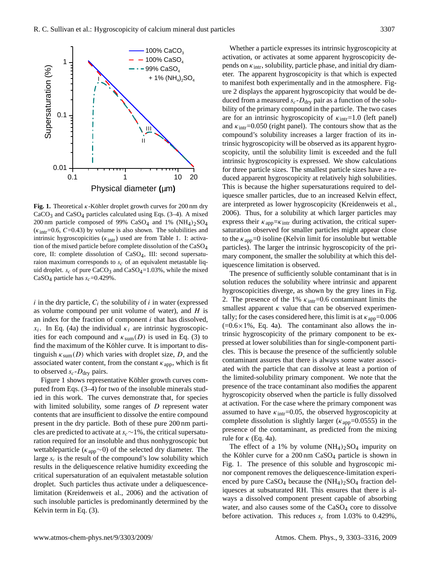

**Fig. 1.** Theoretical  $\kappa$ -Köhler droplet growth curves for 200 nm dry  $CaCO<sub>3</sub>$  and  $CaSO<sub>4</sub>$  particles calculated using Eqs. (3–4). A mixed 200 nm particle composed of 99% CaSO<sub>4</sub> and 1%  $(NH<sub>4</sub>)<sub>2</sub>SO<sub>4</sub>$  $(\kappa_{\text{intr}}=0.6, C=0.43)$  by volume is also shown. The solubilities and intrinsic hygroscopicities ( $\kappa$ <sub>intr</sub>) used are from Table 1. I: activation of the mixed particle before complete dissolution of the  $CaSO<sub>4</sub>$ core, II: complete dissolution of CaSO4, III: second supersaturaion maximum corresponds to  $s_c$  of an equivalent metastable liquid droplet.  $s_c$  of pure CaCO<sub>3</sub> and CaSO<sub>4</sub>=1.03%, while the mixed CaSO<sub>4</sub> particle has  $s_c$ =0.429%.

 $i$  in the dry particle,  $C_i$  the solubility of  $i$  in water (expressed as volume compound per unit volume of water), and  $H$  is an index for the fraction of component  $i$  that has dissolved,  $x_i$ . In Eq. (4a) the individual  $\kappa_i$  are intrinsic hygroscopicities for each compound and  $\kappa_{\text{sum}}(D)$  is used in Eq. (3) to find the maximum of the Köhler curve. It is important to distinguish  $\kappa_{sum}(D)$  which varies with droplet size, D, and the associated water content, from the constant  $\kappa_{\text{app}}$ , which is fit to observed  $s_c$ - $D_{\text{dry}}$  pairs.

Figure 1 shows representative Köhler growth curves computed from Eqs. (3–4) for two of the insoluble minerals studied in this work. The curves demonstrate that, for species with limited solubility, some ranges of  $D$  represent water contents that are insufficient to dissolve the entire compound present in the dry particle. Both of these pure 200 nm particles are predicted to activate at  $s_c \sim 1\%$ , the critical supersaturation required for an insoluble and thus nonhygroscopic but wettableparticle ( $\kappa_{\rm app}$ ∼0) of the selected dry diameter. The large  $s_c$  is the result of the compound's low solubility which results in the deliquescence relative humidity exceeding the critical supersaturation of an equivalent metastable solution droplet. Such particles thus activate under a deliquescencelimitation (Kreidenweis et al., 2006) and the activation of such insoluble particles is predominantly determined by the Kelvin term in Eq. (3).

Whether a particle expresses its intrinsic hygroscopicity at activation, or activates at some apparent hygroscopicity depends on  $\kappa_{\text{intr}}$ , solubility, particle phase, and initial dry diameter. The apparent hygroscopicity is that which is expected to manifest both experimentally and in the atmosphere. Figure 2 displays the apparent hygroscopicity that would be deduced from a measured  $s_c$ - $D_{\text{dry}}$  pair as a function of the solubility of the primary compound in the particle. The two cases are for an intrinsic hygroscopicity of  $\kappa_{\text{intr}}=1.0$  (left panel) and  $\kappa$ <sub>intr</sub>=0.050 (right panel). The contours show that as the compound's solubility increases a larger fraction of its intrinsic hygroscopicity will be observed as its apparent hygroscopicity, until the solubility limit is exceeded and the full intrinsic hygroscopicity is expressed. We show calculations for three particle sizes. The smallest particle sizes have a reduced apparent hygroscopicity at relatively high solubilities. This is because the higher supersaturations required to deliquesce smaller particles, due to an increased Kelvin effect, are interpreted as lower hygroscopicity (Kreidenweis et al., 2006). Thus, for a solubility at which larger particles may express their  $\kappa_{app} = \kappa_{intr}$  during activation, the critical supersaturation observed for smaller particles might appear close to the  $\kappa_{app}=0$  isoline (Kelvin limit for insoluble but wettable particles). The larger the intrinsic hygroscopicity of the primary component, the smaller the solubility at which this deliquescence limitation is observed.

The presence of sufficiently soluble contaminant that is in solution reduces the solubility where intrinsic and apparent hygroscopicities diverge, as shown by the grey lines in Fig. 2. The presence of the 1%  $\kappa$ <sub>intr</sub>=0.6 contaminant limits the smallest apparent  $\kappa$  value that can be observed experimentally; for the cases considered here, this limit is at  $\kappa_{\rm{app}}$ =0.006  $(=0.6\times1\% ,$  Eq. 4a). The contaminant also allows the intrinsic hygroscopicity of the primary component to be expressed at lower solubilities than for single-component particles. This is because the presence of the sufficiently soluble contaminant assures that there is always some water associated with the particle that can dissolve at least a portion of the limited-solubility primary component. We note that the presence of the trace contaminant also modifies the apparent hygroscopicity observed when the particle is fully dissolved at activation. For the case where the primary component was assumed to have  $\kappa$ <sub>intr</sub>=0.05, the observed hygroscopicity at complete dissolution is slightly larger ( $\kappa_{app}$ =0.0555) in the presence of the contaminant, as predicted from the mixing rule for  $\kappa$  (Eq. 4a).

The effect of a 1% by volume  $(NH_4)_2SO_4$  impurity on the Köhler curve for a  $200 \text{ nm}$  CaSO<sub>4</sub> particle is shown in Fig. 1. The presence of this soluble and hygroscopic minor component removes the deliquescence-limitation experienced by pure  $CaSO_4$  because the  $(NH_4)_2SO_4$  fraction deliquesces at subsaturated RH. This ensures that there is always a dissolved component present capable of absorbing water, and also causes some of the  $CaSO<sub>4</sub>$  core to dissolve before activation. This reduces  $s_c$  from 1.03% to 0.429%,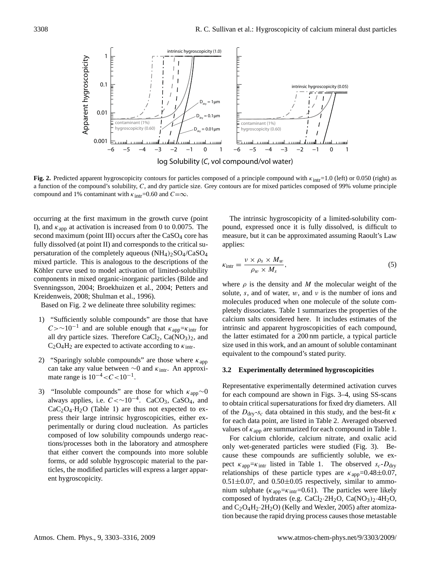

**Fig. 2.** Predicted apparent hygroscopicity contours for particles composed of a principle compound with  $\kappa_{\text{intr}}=1.0$  (left) or 0.050 (right) as a function of the compound's solubility, C, and dry particle size. Grey contours are for mixed particles composed of 99% volume principle compound and 1% contaminant with  $\kappa$ <sub>intr</sub>=0.60 and C=∞.

occurring at the first maximum in the growth curve (point I), and  $\kappa_{\text{app}}$  at activation is increased from 0 to 0.0075. The second maximum (point III) occurs after the  $CaSO<sub>4</sub>$  core has fully dissolved (at point II) and corresponds to the critical supersaturation of the completely aqueous  $(NH_4)_2SO_4/CaSO_4$ mixed particle. This is analogous to the descriptions of the Köhler curve used to model activation of limited-solubility components in mixed organic-inorganic particles (Bilde and Svenningsson, 2004; Broekhuizen et al., 2004; Petters and Kreidenweis, 2008; Shulman et al., 1996).

Based on Fig. 2 we delineate three solubility regimes:

- 1) "Sufficiently soluble compounds" are those that have  $C$ >∼10<sup>-1</sup> and are soluble enough that  $\kappa_{app} = \kappa_{intr}$  for all dry particle sizes. Therefore  $CaCl<sub>2</sub>$ ,  $Ca(NO<sub>3</sub>)<sub>2</sub>$ , and  $C_2O_4H_2$  are expected to activate according to  $\kappa$ <sub>intr</sub>.
- 2) "Sparingly soluble compounds" are those where  $\kappa_{app}$ can take any value between  $\sim$ 0 and  $\kappa$ <sub>intr</sub>. An approximate range is  $10^{-4} < C < 10^{-1}$ .
- 3) "Insoluble compounds" are those for which  $\kappa_{\text{app}} \sim 0$ always applies, i.e.  $C < \sim 10^{-4}$ . CaCO<sub>3</sub>, CaSO<sub>4</sub>, and  $CaC<sub>2</sub>O<sub>4</sub>·H<sub>2</sub>O$  (Table 1) are thus not expected to express their large intrinsic hygroscopicities, either experimentally or during cloud nucleation. As particles composed of low solubility compounds undergo reactions/processes both in the laboratory and atmosphere that either convert the compounds into more soluble forms, or add soluble hygroscopic material to the particles, the modified particles will express a larger apparent hygroscopicity.

The intrinsic hygroscopicity of a limited-solubility compound, expressed once it is fully dissolved, is difficult to measure, but it can be approximated assuming Raoult's Law applies:

$$
\kappa_{\text{intr}} = \frac{\nu \times \rho_s \times M_w}{\rho_w \times M_s},\tag{5}
$$

where  $\rho$  is the density and M the molecular weight of the solute, s, and of water, w, and  $\nu$  is the number of ions and molecules produced when one molecule of the solute completely dissociates. Table 1 summarizes the properties of the calcium salts considered here. It includes estimates of the intrinsic and apparent hygroscopicities of each compound, the latter estimated for a 200 nm particle, a typical particle size used in this work, and an amount of soluble contaminant equivalent to the compound's stated purity.

### **3.2 Experimentally determined hygroscopicities**

Representative experimentally determined activation curves for each compound are shown in Figs. 3–4, using SS-scans to obtain critical supersaturations for fixed dry diameters. All of the  $D_{\text{dry}}-s_c$  data obtained in this study, and the best-fit  $\kappa$ for each data point, are listed in Table 2. Averaged observed values of  $\kappa_{\text{app}}$  are summarized for each compound in Table 1.

For calcium chloride, calcium nitrate, and oxalic acid only wet-generated particles were studied (Fig. 3). Because these compounds are sufficiently soluble, we expect  $\kappa_{app} = \kappa_{intr}$  listed in Table 1. The observed  $s_c$ - $D_{\text{dry}}$ relationships of these particle types are  $\kappa_{app}=0.48\pm0.07$ ,  $0.51\pm0.07$ , and  $0.50\pm0.05$  respectively, similar to ammonium sulphate ( $\kappa_{app} = \kappa_{intr} = 0.61$ ). The particles were likely composed of hydrates (e.g. CaCl<sub>2</sub>·2H<sub>2</sub>O, Ca(NO<sub>3</sub>)<sub>2</sub>·4H<sub>2</sub>O, and  $C_2O_4H_2·2H_2O$ ) (Kelly and Wexler, 2005) after atomization because the rapid drying process causes those metastable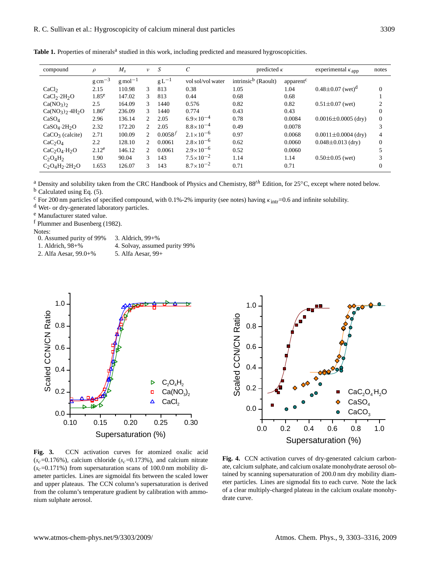| compound                             | $\rho$              | $M_{\rm s}$           | $\upsilon$                  | S            | $\mathcal{C}_{0}^{0}$ | predicted $\kappa$              |                       | experimental $\kappa_{app}$        | notes        |
|--------------------------------------|---------------------|-----------------------|-----------------------------|--------------|-----------------------|---------------------------------|-----------------------|------------------------------------|--------------|
|                                      | $g \text{ cm}^{-3}$ | $g$ mol <sup>-1</sup> |                             | $g L^{-1}$   | vol sol/vol water     | intrinsic <sup>b</sup> (Raoult) | apparent <sup>c</sup> |                                    |              |
| CaCl <sub>2</sub>                    | 2.15                | 110.98                | 3                           | 813          | 0.38                  | 1.05                            | 1.04                  | $0.48 \pm 0.07$ (wet) <sup>d</sup> | $\Omega$     |
| CaCl <sub>2</sub> ·2H <sub>2</sub> O | 1.85 <sup>e</sup>   | 147.02                | $\mathcal{F}$               | 813          | 0.44                  | 0.68                            | 0.68                  |                                    |              |
| Ca(NO <sub>3</sub> ) <sub>2</sub>    | 2.5                 | 164.09                | $\mathcal{F}$               | 1440         | 0.576                 | 0.82                            | 0.82                  | $0.51 \pm 0.07$ (wet)              |              |
| $Ca(NO3)2·4H2O$                      | 1.86 <sup>e</sup>   | 236.09                | $\mathcal{F}$               | 1440         | 0.774                 | 0.43                            | 0.43                  |                                    | $\theta$     |
| CaSO <sub>4</sub>                    | 2.96                | 136.14                | $\mathcal{D}$               | 2.05         | $6.9\times10^{-4}$    | 0.78                            | 0.0084                | $0.0016 \pm 0.0005$ (dry)          | $\mathbf{0}$ |
| CaSO <sub>4</sub> ·2H <sub>2</sub> O | 2.32                | 172.20                | $\mathcal{D}_{\mathcal{L}}$ | 2.05         | $8.8 \times 10^{-4}$  | 0.49                            | 0.0078                |                                    | 3            |
| $CaCO3$ (calcite)                    | 2.71                | 100.09                | $\mathcal{D}_{\mathcal{L}}$ | $0.0058^{f}$ | $2.1 \times 10^{-6}$  | 0.97                            | 0.0068                | $0.0011 \pm 0.0004$ (dry)          | 4            |
| CaC <sub>2</sub> O <sub>4</sub>      | 2.2                 | 128.10                | $\mathfrak{D}$              | 0.0061       | $2.8 \times 10^{-6}$  | 0.62                            | 0.0060                | $0.048 \pm 0.013$ (dry)            | $\mathbf{0}$ |
| $CaC2O4·H2O$                         | $2.12^e$            | 146.12                | $\mathfrak{D}$              | 0.0061       | $2.9\times10^{-6}$    | 0.52                            | 0.0060                |                                    |              |
| $C_2O_4H_2$                          | 1.90                | 90.04                 | $\mathcal{E}$               | 143          | $7.5 \times 10^{-2}$  | 1.14                            | 1.14                  | $0.50 \pm 0.05$ (wet)              | 3            |
| $C_2O_4H_2.2H_2O$                    | 1.653               | 126.07                | $\mathcal{F}$               | 143          | $8.7\times10^{-2}$    | 0.71                            | 0.71                  |                                    | $\theta$     |

Table 1. Properties of minerals<sup>a</sup> studied in this work, including predicted and measured hygroscopicities.

<sup>a</sup> Density and solubility taken from the CRC Handbook of Physics and Chemistry,  $88^{th}$  Edition, for 25<sup>°</sup>C, except where noted below.  $<sup>b</sup>$  Calculated using Eq. (5).</sup>

<sup>c</sup> For 200 nm particles of specified compound, with 0.1%-2% impurity (see notes) having  $\kappa_{\text{intr}}$ =0.6 and infinite solubility.

<sup>d</sup> Wet- or dry-generated laboratory particles.

<sup>e</sup> Manufacturer stated value.

<sup>f</sup> Plummer and Busenberg (1982).

Notes:

- 0. Assumed purity of 99% 3. Aldrich,  $99+\%$ <br>1. Aldrich,  $98+\%$  4. Solvay, assume
- 
- 4. Solvay, assumed purity 99%
- 2. Alfa Aesar, 99.0+% 5. Alfa Aesar, 99+





**Fig. 3.** CCN activation curves for atomized oxalic acid  $(s_c=0.176\%)$ , calcium chloride  $(s_c=0.173\%)$ , and calcium nitrate  $(s_c=0.171\%)$  from supersaturation scans of 100.0 nm mobility diameter particles. Lines are sigmoidal fits between the scaled lower and upper plateaus. The CCN column's supersaturation is derived from the column's temperature gradient by calibration with ammonium sulphate aerosol.

**Fig. 4.** CCN activation curves of dry-generated calcium carbonate, calcium sulphate, and calcium oxalate monohydrate aerosol obtained by scanning supersaturation of 200.0 nm dry mobility diameter particles. Lines are sigmodal fits to each curve. Note the lack of a clear multiply-charged plateau in the calcium oxalate monohydrate curve.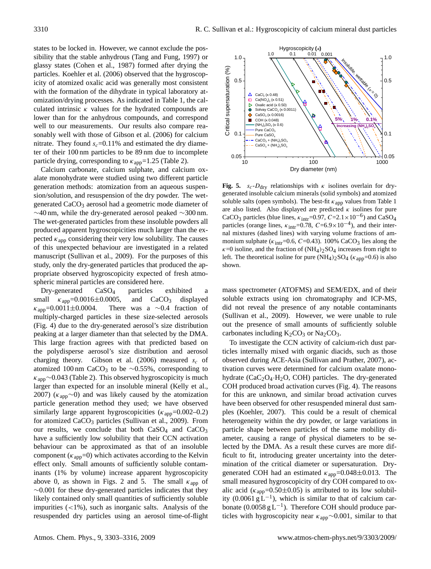states to be locked in. However, we cannot exclude the possibility that the stable anhydrous (Tang and Fung, 1997) or glassy states (Cohen et al., 1987) formed after drying the particles. Koehler et al. (2006) observed that the hygroscopicity of atomized oxalic acid was generally most consistent with the formation of the dihydrate in typical laboratory atomization/drying processes. As indicated in Table 1, the calculated intrinsic  $\kappa$  values for the hydrated compounds are lower than for the anhydrous compounds, and correspond well to our measurements. Our results also compare reasonably well with those of Gibson et al. (2006) for calcium nitrate. They found  $s_c$ =0.11% and estimated the dry diameter of their 100 nm particles to be 89 nm due to incomplete particle drying, corresponding to  $\kappa_{\text{app}}$ =1.25 (Table 2).

Calcium carbonate, calcium sulphate, and calcium oxalate monohydrate were studied using two different particle generation methods: atomization from an aqueous suspension/solution, and resuspension of the dry powder. The wetgenerated CaCO<sub>3</sub> aerosol had a geometric mode diameter of ∼40 nm, while the dry-generated aerosol peaked ∼300 nm. The wet-generated particles from these insoluble powders all produced apparent hygroscopicities much larger than the expected  $\kappa_{app}$  considering their very low solubility. The causes of this unexpected behaviour are investigated in a related manuscript (Sullivan et al., 2009). For the purposes of this study, only the dry-generated particles that produced the appropriate observed hygroscopicity expected of fresh atmospheric mineral particles are considered here.

Dry-generated CaSO<sup>4</sup> particles exhibited a small  $\kappa_{app} = 0.0016 \pm 0.0005$ , and CaCO<sub>3</sub> displayed  $\kappa_{\text{app}}$ =0.0011±0.0004. There was a ∼0.4 fraction of multiply-charged particles in these size-selected aerosols (Fig. 4) due to the dry-generated aerosol's size distribution peaking at a larger diameter than that selected by the DMA. This large fraction agrees with that predicted based on the polydisperse aerosol's size distribution and aerosol charging theory. Gibson et al. (2006) measured  $s_c$  of atomized 100 nm CaCO<sub>3</sub> to be ∼0.55%, corresponding to  $\kappa_{\rm app}$ ∼0.043 (Table 2). This observed hygroscopicity is much larger than expected for an insoluble mineral (Kelly et al., 2007) ( $\kappa_{\rm app}$ ∼0) and was likely caused by the atomization particle generation method they used; we have observed similarly large apparent hygroscopicities ( $\kappa_{app}$ =0.002–0.2) for atomized CaCO<sub>3</sub> particles (Sullivan et al., 2009). From our results, we conclude that both  $CaSO<sub>4</sub>$  and  $CaCO<sub>3</sub>$ have a sufficiently low solubility that their CCN activation behaviour can be approximated as that of an insoluble component ( $\kappa_{app}=0$ ) which activates according to the Kelvin effect only. Small amounts of sufficiently soluble contaminants (1% by volume) increase apparent hygroscopicity above 0, as shown in Figs. 2 and 5. The small  $\kappa_{app}$  of ∼0.001 for these dry-generated particles indicates that they likely contained only small quantities of sufficiently soluble impurities  $\left($  < 1%), such as inorganic salts. Analysis of the resuspended dry particles using an aerosol time-of-flight



**Fig. 5.**  $s_c$ - $D_{\text{dry}}$  relationships with  $\kappa$  isolines overlain for drygenerated insoluble calcium minerals (solid symbols) and atomized soluble salts (open symbols). The best-fit  $\kappa_{app}$  values from Table 1 are also listed. Also displayed are predicted  $\kappa$  isolines for pure CaCO<sub>3</sub> particles (blue lines,  $\kappa$ <sub>intr</sub>=0.97, C=2.1×10<sup>-6</sup>) and CaSO<sub>4</sub> particles (orange lines,  $\kappa_{\text{intr}}$ =0.78,  $C$ =6.9×10<sup>-4</sup>), and their internal mixtures (dashed lines) with varying volume fractions of ammonium sulphate ( $\kappa$ <sub>intr</sub>=0.6, C=0.43). 100% CaCO<sub>3</sub> lies along the  $\kappa$ =0 isoline, and the fraction of (NH<sub>4</sub>)<sub>2</sub>SO<sub>4</sub> increases from right to left. The theoretical isoline for pure  $(NH_4)_2SO_4$  ( $\kappa_{app}=0.6$ ) is also shown.

mass spectrometer (ATOFMS) and SEM/EDX, and of their soluble extracts using ion chromatography and ICP-MS, did not reveal the presence of any notable contaminants (Sullivan et al., 2009). However, we were unable to rule out the presence of small amounts of sufficiently soluble carbonates including  $K_2CO_3$  or  $Na_2CO_3$ .

To investigate the CCN activity of calcium-rich dust particles internally mixed with organic diacids, such as those observed during ACE-Asia (Sullivan and Prather, 2007), activation curves were determined for calcium oxalate monohydrate  $(CaC_2O_4·H_2O, COH)$  particles. The dry-generated COH produced broad activation curves (Fig. 4). The reasons for this are unknown, and similar broad activation curves have been observed for other resuspended mineral dust samples (Koehler, 2007). This could be a result of chemical heterogeneity within the dry powder, or large variations in particle shape between particles of the same mobility diameter, causing a range of physical diameters to be selected by the DMA. As a result these curves are more difficult to fit, introducing greater uncertainty into the determination of the critical diameter or supersaturation. Drygenerated COH had an estimated  $\kappa_{app}$ =0.048±0.013. The small measured hygroscopicity of dry COH compared to oxalic acid ( $\kappa_{app}$ =0.50±0.05) is attributed to its low solubility (0.0061  $gL^{-1}$ ), which is similar to that of calcium carbonate  $(0.0058 \text{ g L}^{-1})$ . Therefore COH should produce particles with hygroscopicity near  $\kappa_{app}$ ~0.001, similar to that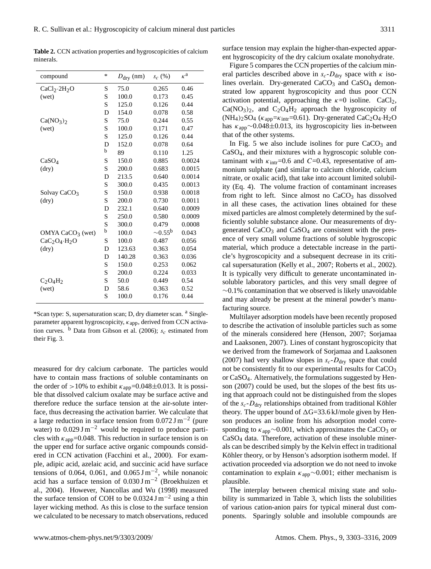| compound                             | $\ast$ | $D_{\text{dry}}$ (nm) | $s_c$ (%)           | $\kappa^{\rm a}$ |
|--------------------------------------|--------|-----------------------|---------------------|------------------|
| CaCl <sub>2</sub> ·2H <sub>2</sub> O | S      | 75.0                  | 0.265               | 0.46             |
| (wet)                                | S      | 100.0                 | 0.173               | 0.45             |
|                                      | S      | 125.0                 | 0.126               | 0.44             |
|                                      | D      | 154.0                 | 0.078               | 0.58             |
| Ca(NO <sub>3</sub> ) <sub>2</sub>    | S      | 75.0                  | 0.244               | 0.55             |
| (wet)                                | S      | 100.0                 | 0.171               | 0.47             |
|                                      | S      | 125.0                 | 0.126               | 0.44             |
|                                      | D      | 152.0                 | 0.078               | 0.64             |
|                                      | b      | 89                    | 0.110               | 1.25             |
| CaSO <sub>4</sub>                    | S      | 150.0                 | 0.885               | 0.0024           |
| (dry)                                | S      | 200.0                 | 0.683               | 0.0015           |
|                                      | D      | 213.5                 | 0.640               | 0.0014           |
|                                      | S      | 300.0                 | 0.435               | 0.0013           |
| Solvay CaCO <sub>3</sub>             | S      | 150.0                 | 0.938               | 0.0018           |
| (dry)                                | S      | 200.0                 | 0.730               | 0.0011           |
|                                      | D      | 232.1                 | 0.640               | 0.0009           |
|                                      | S      | 250.0                 | 0.580               | 0.0009           |
|                                      | S      | 300.0                 | 0.479               | 0.0008           |
| OMYA CaCO <sub>3</sub> (wet)         | b      | 100.0                 | $\sim 0.55^{\rm b}$ | 0.043            |
| $CaC2O4·H2O$                         | S      | 100.0                 | 0.487               | 0.056            |
| (dry)                                | D      | 123.63                | 0.363               | 0.054            |
|                                      | D      | 140.28                | 0.363               | 0.036            |
|                                      | S      | 150.0                 | 0.253               | 0.062            |
|                                      | S      | 200.0                 | 0.224               | 0.033            |
| $C_2O_4H_2$                          | S      | 50.0                  | 0.449               | 0.54             |
| (wet)                                | D      | 58.6                  | 0.363               | 0.52             |
|                                      | S      | 100.0                 | 0.176               | 0.44             |

**Table 2.** CCN activation properties and hygroscopicities of calcium minerals.

\*Scan type: S, supersaturation scan; D, dry diameter scan. <sup>a</sup> Singleparameter apparent hygroscopicity,  $\kappa_{\rm app}$ , derived from CCN activation curves.  $\frac{b}{c}$  Data from Gibson et al. (2006);  $s_c$  estimated from their Fig. 3.

measured for dry calcium carbonate. The particles would have to contain mass fractions of soluble contaminants on the order of >10% to exhibit  $\kappa_{\text{app}}$ =0.048±0.013. It is possible that dissolved calcium oxalate may be surface active and therefore reduce the surface tension at the air-solute interface, thus decreasing the activation barrier. We calculate that a large reduction in surface tension from  $0.072 \text{ J m}^{-2}$  (pure water) to  $0.029 \text{ J m}^{-2}$  would be required to produce particles with  $\kappa_{\text{app}}$ =0.048. This reduction in surface tension is on the upper end for surface active organic compounds considered in CCN activation (Facchini et al., 2000). For example, adipic acid, azelaic acid, and succinic acid have surface tensions of 0.064, 0.061, and 0.065 J m<sup>-2</sup>, while nonanoic acid has a surface tension of 0.030 J m−<sup>2</sup> (Broekhuizen et al., 2004). However, Nancollas and Wu (1998) measured the surface tension of COH to be  $0.0324 \text{ J m}^{-2}$  using a thin layer wicking method. As this is close to the surface tension we calculated to be necessary to match observations, reduced

surface tension may explain the higher-than-expected apparent hygroscopicity of the dry calcium oxalate monohydrate.

Figure 5 compares the CCN properties of the calcium mineral particles described above in  $s_c$ - $D_{\text{dry}}$  space with  $\kappa$  isolines overlain. Dry-generated  $CaCO<sub>3</sub>$  and  $CaSO<sub>4</sub>$  demonstrated low apparent hygroscopicity and thus poor CCN activation potential, approaching the  $\kappa=0$  isoline. CaCl<sub>2</sub>,  $Ca(NO<sub>3</sub>)<sub>2</sub>$ , and  $C<sub>2</sub>O<sub>4</sub>H<sub>2</sub>$  approach the hygroscopicity of (NH<sub>4</sub>)<sub>2</sub>SO<sub>4</sub> ( $\kappa_{app} = \kappa_{intr} = 0.61$ ). Dry-generated CaC<sub>2</sub>O<sub>4</sub>·H<sub>2</sub>O has  $\kappa_{\rm app}$ ∼0.048±0.013, its hygroscopicity lies in-between that of the other systems.

In Fig. 5 we also include isolines for pure  $CaCO<sub>3</sub>$  and CaSO4, and their mixtures with a hygroscopic soluble contaminant with  $\kappa_{\text{intr}}$ =0.6 and C=0.43, representative of ammonium sulphate (and similar to calcium chloride, calcium nitrate, or oxalic acid), that take into account limited solubility (Eq. 4). The volume fraction of contaminant increases from right to left. Since almost no  $CaCO<sub>3</sub>$  has dissolved in all these cases, the activation lines obtained for these mixed particles are almost completely determined by the sufficiently soluble substance alone. Our measurements of drygenerated  $CaCO<sub>3</sub>$  and  $CaSO<sub>4</sub>$  are consistent with the presence of very small volume fractions of soluble hygroscopic material, which produce a detectable increase in the particle's hygroscopicity and a subsequent decrease in its critical supersaturation (Kelly et al., 2007; Roberts et al., 2002). It is typically very difficult to generate uncontaminated insoluble laboratory particles, and this very small degree of ∼0.1% contamination that we observed is likely unavoidable and may already be present at the mineral powder's manufacturing source.

Multilayer adsorption models have been recently proposed to describe the activation of insoluble particles such as some of the minerals considered here (Henson, 2007; Sorjamaa and Laaksonen, 2007). Lines of constant hygroscopicity that we derived from the framework of Sorjamaa and Laaksonen (2007) had very shallow slopes in  $s_c$ - $D_{\text{dry}}$  space that could not be consistently fit to our experimental results for  $CaCO<sub>3</sub>$ or CaSO4. Alternatively, the formulations suggested by Henson (2007) could be used, but the slopes of the best fits using that approach could not be distinguished from the slopes of the  $s_c$ - $D_{\text{dry}}$  relationships obtained from traditional Köhler theory. The upper bound of  $\Delta G=33.6$  kJ/mole given by Henson produces an isoline from his adsorption model corresponding to  $\kappa_{\rm app}$ ~0.001, which approximates the CaCO<sub>3</sub> or CaSO<sup>4</sup> data. Therefore, activation of these insoluble minerals can be described simply by the Kelvin effect in traditional Köhler theory, or by Henson's adsorption isotherm model. If activation proceeded via adsorption we do not need to invoke contamination to explain  $\kappa_{\text{app}}$ ~0.001; either mechanism is plausible.

The interplay between chemical mixing state and solubility is summarized in Table 3, which lists the solubilities of various cation-anion pairs for typical mineral dust components. Sparingly soluble and insoluble compounds are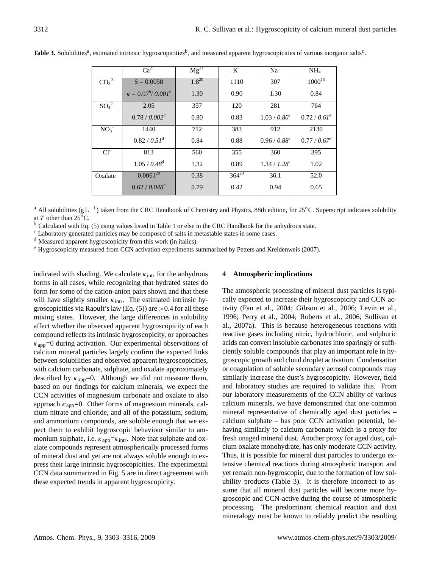|                              | $Ca^{2+}$                   | $Mg^{2+}$  | $K^+$      | $Na+$           | $NH_4$ <sup>+</sup> |
|------------------------------|-----------------------------|------------|------------|-----------------|---------------------|
| $\overline{CO_3}^2$          | $S = 0.0058$                | $1.8^{20}$ | 1110       | 307             | $1000^{15}$         |
|                              | $\kappa = 0.97^b / 0.001^d$ | 1.30       | 0.90       | 1.30            | 0.84                |
| SO <sub>4</sub> <sup>2</sup> | 2.05                        | 357        | 120        | 281             | 764                 |
|                              | $0.78 / 0.002^d$            | 0.80       | 0.83       | $1.03 / 0.80^e$ | $0.72 / 0.61^e$     |
| NO <sub>3</sub>              | 1440                        | 712        | 383        | 912             | 2130                |
|                              | $0.82 / 0.51$ <sup>d</sup>  | 0.84       | 0.88       | $0.96 / 0.88^e$ | $0.77/0.67^e$       |
| $Cl^{\sim}$                  | 813                         | 560        | 355        | 360             | 395                 |
|                              | $1.05 / 0.48^d$             | 1.32       | 0.89       | $1.34 / 1.28^e$ | 1.02                |
| Oxalate <sup>-</sup>         | $0.0061^{20}$               | 0.38       | $364^{20}$ | 36.1            | 52.0                |
|                              | $0.62 / 0.048$ <sup>d</sup> | 0.79       | 0.42       | 0.94            | 0.65                |

Table 3. Solubilities<sup>a</sup>, estimated intrinsic hygroscopicities<sup>b</sup>, and measured apparent hygroscopicities of various inorganic salts<sup>c</sup>. hygroscopicities of various inorganic salts.<sup>c</sup>

<sup>a</sup> All solubilities (g L<sup>-1</sup>) taken from the CRC Handbook of Chemistry and Physics, 88th edition, for 25<sup>°</sup>C. Superscript indicates solubility <sup>b</sup> Calculated with Eq. (5) using values listed in Table 1 or else in the CRC Handbook for the anhydrous at T other than  $25^{\circ}$ C.

<sup>b</sup> Calculated with Eq. (5) using values listed in Table 1 or else in the CRC Handbook for the anhydrous state. c Laboratory generated particles in the contract manufacture manufacture.

 $\frac{c}{c}$  Laboratory generated particles may be composed of salts in metastable states in some cases.

 $\frac{d}{dx}$  Measured apparent hygroscopicity from this work (in italics).

<sup>e</sup> Hygroscopicity measured from CCN activation experiments summarized by Petters and Kreidenweis (2007).

indicated with shading. We calculate  $\kappa$ <sub>intr</sub> for the anhydrous forms in all cases, while recognizing that hydrated states do form for some of the cation-anion pairs shown and that these will have slightly smaller  $\kappa$ <sub>intr</sub>. The estimated intrinsic hygroscopicities via Raoult's law (Eq.  $(5)$ ) are  $> 0.4$  for all these mixing states. However, the large differences in solubility affect whether the observed apparent hygroscopicity of each compound reflects its intrinsic hygroscopicity, or approaches  $\kappa_{\text{app}}$ =0 during activation. Our experimental observations of calcium mineral particles largely confirm the expected links between solubilities and observed apparent hygroscopicities, with calcium carbonate, sulphate, and oxalate approximately described by  $\kappa_{app}=0$ . Although we did not measure them, based on our findings for calcium minerals, we expect the CCN activities of magnesium carbonate and oxalate to also approach  $\kappa_{app}=0$ . Other forms of magnesium minerals, calcium nitrate and chloride, and all of the potassium, sodium, and ammonium compounds, are soluble enough that we expect them to exhibit hygroscopic behaviour similar to ammonium sulphate, i.e.  $\kappa_{app} = \kappa_{intr}$ . Note that sulphate and oxalate compounds represent atmospherically processed forms of mineral dust and yet are not always soluble enough to express their large intrinsic hygroscopicities. The experimental CCN data summarized in Fig. 5 are in direct agreement with these expected trends in apparent hygroscopicity.

# **4 Atmospheric implications**

25 cium oxalate monohydrate, has only moderate CCN activity. The atmospheric processing of mineral dust particles is typically expected to increase their hygroscopicity and CCN activity (Fan et al., 2004; Gibson et al., 2006; Levin et al., 1996; Perry et al., 2004; Roberts et al., 2006; Sullivan et al., 2007a). This is because heterogeneous reactions with reactive gases including nitric, hydrochloric, and sulphuric acids can convert insoluble carbonates into sparingly or sufficiently soluble compounds that play an important role in hygroscopic growth and cloud droplet activation. Condensation or coagulation of soluble secondary aerosol compounds may similarly increase the dust's hygroscopicity. However, field and laboratory studies are required to validate this. From our laboratory measurements of the CCN ability of various calcium minerals, we have demonstrated that one common mineral representative of chemically aged dust particles – calcium sulphate – has poor CCN activation potential, behaving similarly to calcium carbonate which is a proxy for fresh unaged mineral dust. Another proxy for aged dust, cal-Thus, it is possible for mineral dust particles to undergo extensive chemical reactions during atmospheric transport and yet remain non-hygroscopic, due to the formation of low solubility products (Table 3). It is therefore incorrect to assume that all mineral dust particles will become more hygroscopic and CCN-active during the course of atmospheric processing. The predominant chemical reaction and dust mineralogy must be known to reliably predict the resulting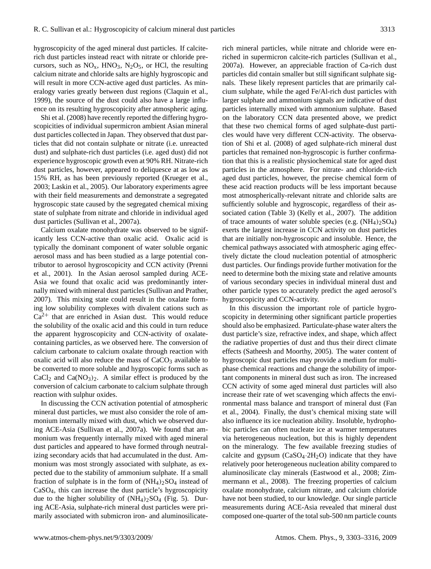hygroscopicity of the aged mineral dust particles. If calciterich dust particles instead react with nitrate or chloride precursors, such as  $NO_x$ ,  $HNO_3$ ,  $N_2O_5$ , or HCl, the resulting calcium nitrate and chloride salts are highly hygroscopic and will result in more CCN-active aged dust particles. As mineralogy varies greatly between dust regions (Claquin et al., 1999), the source of the dust could also have a large influence on its resulting hygroscopicity after atmospheric aging.

Shi et al. (2008) have recently reported the differing hygroscopicities of individual supermicron ambient Asian mineral dust particles collected in Japan. They observed that dust particles that did not contain sulphate or nitrate (i.e. unreacted dust) and sulphate-rich dust particles (i.e. aged dust) did not experience hygroscopic growth even at 90% RH. Nitrate-rich dust particles, however, appeared to deliquesce at as low as 15% RH, as has been previously reported (Krueger et al., 2003; Laskin et al., 2005). Our laboratory experiments agree with their field measurements and demonstrate a segregated hygroscopic state caused by the segregated chemical mixing state of sulphate from nitrate and chloride in individual aged dust particles (Sullivan et al., 2007a).

Calcium oxalate monohydrate was observed to be significantly less CCN-active than oxalic acid. Oxalic acid is typically the dominant component of water soluble organic aerosol mass and has been studied as a large potential contributor to aerosol hygroscopicity and CCN activity (Prenni et al., 2001). In the Asian aerosol sampled during ACE-Asia we found that oxalic acid was predominantly internally mixed with mineral dust particles (Sullivan and Prather, 2007). This mixing state could result in the oxalate forming low solubility complexes with divalent cations such as  $Ca<sup>2+</sup>$  that are enriched in Asian dust. This would reduce the solubility of the oxalic acid and this could in turn reduce the apparent hygroscopicity and CCN-activity of oxalatecontaining particles, as we observed here. The conversion of calcium carbonate to calcium oxalate through reaction with oxalic acid will also reduce the mass of  $CaCO<sub>3</sub>$  available to be converted to more soluble and hygroscopic forms such as  $CaCl<sub>2</sub>$  and  $Ca(NO<sub>3</sub>)<sub>2</sub>$ . A similar effect is produced by the conversion of calcium carbonate to calcium sulphate through reaction with sulphur oxides.

In discussing the CCN activation potential of atmospheric mineral dust particles, we must also consider the role of ammonium internally mixed with dust, which we observed during ACE-Asia (Sullivan et al., 2007a). We found that ammonium was frequently internally mixed with aged mineral dust particles and appeared to have formed through neutralizing secondary acids that had accumulated in the dust. Ammonium was most strongly associated with sulphate, as expected due to the stability of ammonium sulphate. If a small fraction of sulphate is in the form of  $(NH<sub>4</sub>)<sub>2</sub>SO<sub>4</sub>$  instead of CaSO4, this can increase the dust particle's hygroscopicity due to the higher solubility of  $(NH<sub>4</sub>)<sub>2</sub>SO<sub>4</sub>$  (Fig. 5). During ACE-Asia, sulphate-rich mineral dust particles were primarily associated with submicron iron- and aluminosilicaterich mineral particles, while nitrate and chloride were enriched in supermicron calcite-rich particles (Sullivan et al., 2007a). However, an appreciable fraction of Ca-rich dust particles did contain smaller but still significant sulphate signals. These likely represent particles that are primarily calcium sulphate, while the aged Fe/Al-rich dust particles with larger sulphate and ammonium signals are indicative of dust particles internally mixed with ammonium sulphate. Based on the laboratory CCN data presented above, we predict that these two chemical forms of aged sulphate-dust particles would have very different CCN-activity. The observation of Shi et al. (2008) of aged sulphate-rich mineral dust particles that remained non-hygroscopic is further confirmation that this is a realistic physiochemical state for aged dust particles in the atmosphere. For nitrate- and chloride-rich aged dust particles, however, the precise chemical form of these acid reaction products will be less important because most atmospherically-relevant nitrate and chloride salts are sufficiently soluble and hygroscopic, regardless of their associated cation (Table 3) (Kelly et al., 2007). The addition of trace amounts of water soluble species (e.g.  $(NH_4)$ <sub>2</sub>SO<sub>4</sub>) exerts the largest increase in CCN activity on dust particles that are initially non-hygroscopic and insoluble. Hence, the chemical pathways associated with atmospheric aging effectively dictate the cloud nucleation potential of atmospheric dust particles. Our findings provide further motivation for the need to determine both the mixing state and relative amounts of various secondary species in individual mineral dust and other particle types to accurately predict the aged aerosol's hygroscopicity and CCN-activity.

In this discussion the important role of particle hygroscopicity in determining other significant particle properties should also be emphasized. Particulate-phase water alters the dust particle's size, refractive index, and shape, which affect the radiative properties of dust and thus their direct climate effects (Satheesh and Moorthy, 2005). The water content of hygroscopic dust particles may provide a medium for multiphase chemical reactions and change the solubility of important components in mineral dust such as iron. The increased CCN activity of some aged mineral dust particles will also increase their rate of wet scavenging which affects the environmental mass balance and transport of mineral dust (Fan et al., 2004). Finally, the dust's chemical mixing state will also influence its ice nucleation ability. Insoluble, hydrophobic particles can often nucleate ice at warmer temperatures via heterogeneous nucleation, but this is highly dependent on the mineralogy. The few available freezing studies of calcite and gypsum  $(CaSO<sub>4</sub>·2H<sub>2</sub>O)$  indicate that they have relatively poor heterogeneous nucleation ability compared to aluminosilicate clay minerals (Eastwood et al., 2008; Zimmermann et al., 2008). The freezing properties of calcium oxalate monohydrate, calcium nitrate, and calcium chloride have not been studied, to our knowledge. Our single particle measurements during ACE-Asia revealed that mineral dust composed one-quarter of the total sub-500 nm particle counts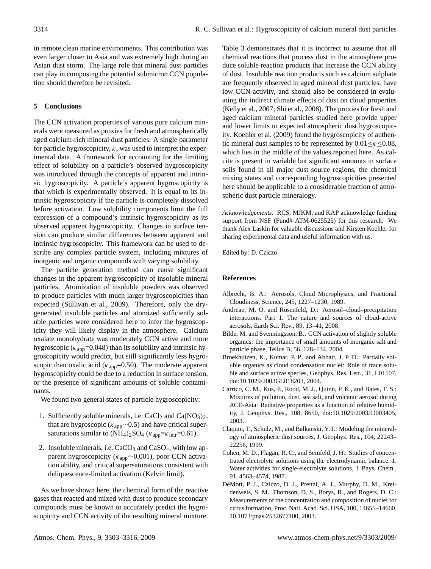in remote clean marine environments. This contribution was even larger closer to Asia and was extremely high during an Asian dust storm. The large role that mineral dust particles can play in composing the potential submicron CCN population should therefore be revisited.

# **5 Conclusions**

The CCN activation properties of various pure calcium minerals were measured as proxies for fresh and atmospherically aged calcium-rich mineral dust particles. A single parameter for particle hygroscopicity,  $\kappa$ , was used to interpret the experimental data. A framework for accounting for the limiting effect of solubility on a particle's observed hygroscopicity was introduced through the concepts of apparent and intrinsic hygroscopicity. A particle's apparent hygroscopicity is that which is experimentally observed. It is equal to its intrinsic hygroscopicity if the particle is completely dissolved before activation. Low solubility components limit the full expression of a compound's intrinsic hygroscopicity as its observed apparent hygroscopicity. Changes in surface tension can produce similar differences between apparent and intrinsic hygroscopicity. This framework can be used to describe any complex particle system, including mixtures of inorganic and organic compounds with varying solubility.

The particle generation method can cause significant changes in the apparent hygroscopicity of insoluble mineral particles. Atomization of insoluble powders was observed to produce particles with much larger hygroscopicities than expected (Sullivan et al., 2009). Therefore, only the drygenerated insoluble particles and atomized sufficiently soluble particles were considered here to infer the hygroscopicity they will likely display in the atmosphere. Calcium oxalate monohydrate was moderately CCN active and more hygroscopic ( $\kappa_{app}$ =0.048) than its solubility and intrinsic hygroscopicity would predict, but still significantly less hygroscopic than oxalic acid ( $\kappa_{app}$ =0.50). The moderate apparent hygroscopicity could be due to a reduction in surface tension, or the presence of significant amounts of soluble contaminants.

We found two general states of particle hygroscopicity:

- 1. Sufficiently soluble minerals, i.e.  $CaCl<sub>2</sub>$  and  $Ca(NO<sub>3</sub>)<sub>2</sub>$ , that are hygroscopic ( $\kappa_{\text{app}}$ ∼0.5) and have critical supersaturations similar to  $(NH_4)_2SO_4$  ( $\kappa_{app}=\kappa_{intr}=0.61$ ).
- 2. Insoluble minerals, i.e. CaCO<sub>3</sub> and CaSO<sub>4</sub>, with low apparent hygroscopicity (κapp∼0.001), poor CCN activation ability, and critical supersaturations consistent with deliquescence-limited activation (Kelvin limit).

As we have shown here, the chemical form of the reactive gases that reacted and mixed with dust to produce secondary compounds must be known to accurately predict the hygroscopicity and CCN activity of the resulting mineral mixture. Table 3 demonstrates that it is incorrect to assume that all chemical reactions that process dust in the atmosphere produce soluble reaction products that increase the CCN ability of dust. Insoluble reaction products such as calcium sulphate are frequently observed in aged mineral dust particles, have low CCN-activity, and should also be considered in evaluating the indirect climate effects of dust on cloud properties (Kelly et al., 2007; Shi et al., 2008). The proxies for fresh and aged calcium mineral particles studied here provide upper and lower limits to expected atmospheric dust hygroscopicity. Koehler et al. (2009) found the hygroscopicity of authentic mineral dust samples to be represented by  $0.01 \le \kappa \le 0.08$ , which lies in the middle of the values reported here. As calcite is present in variable but significant amounts in surface soils found in all major dust source regions, the chemical mixing states and corresponding hygroscopicities presented here should be applicable to a considerable fraction of atmospheric dust particle mineralogy.

*Acknowledgements.* RCS, MJKM, and KAP acknowledge funding support from NSF (Fund# ATM-0625526) for this research. We thank Alex Laskin for valuable discussions and Kirsten Koehler for sharing experimental data and useful information with us.

Edited by: D. Cziczo

# **References**

- Albrecht, B. A.: Aerosols, Cloud Microphysics, and Fractional Cloudiness, Science, 245, 1227–1230, 1989.
- Andreae, M. O. and Rosenfeld, D.: Aerosol–cloud–precipitation interactions. Part 1. The nature and sources of cloud-active aerosols, Earth Sci. Rev., 89, 13–41, 2008.
- Bilde, M. and Svenningsson, B.: CCN activation of slightly soluble organics: the importance of small amounts of inorganic salt and particle phase, Tellus B, 56, 128–134, 2004.
- Broekhuizen, K., Kumar, P. P., and Abbatt, J. P. D.: Partially soluble organics as cloud condensation nuclei: Role of trace soluble and surface active species, Geophys. Res. Lett., 31, L01107, doi:10.1029/2003GL018203, 2004.
- Carrico, C. M., Kus, P., Rood, M. J., Quinn, P. K., and Bates, T. S.: Mixtures of pollution, dust, sea salt, and volcanic aerosol during ACE-Asia: Radiative properties as a function of relative humidity, J. Geophys. Res., 108, 8650, doi:10.1029/2003JD003405, 2003.
- Claquin, T., Schulz, M., and Balkanski, Y. J.: Modeling the mineralogy of atmospheric dust sources, J. Geophys. Res., 104, 22243– 22256, 1999.
- Cohen, M. D., Flagan, R. C., and Seinfeld, J. H.: Studies of concentrated electrolyte solutions using the electrodynamic balance. 1. Water activities for single-electrolyte solutions, J. Phys. Chem., 91, 4563–4574, 1987.
- DeMott, P. J., Cziczo, D. J., Prenni, A. J., Murphy, D. M., Kreidenweis, S. M., Thomson, D. S., Borys, R., and Rogers, D. C.: Measurements of the concentration and composition of nuclei for cirrus formation, Proc. Natl. Acad. Sci. USA, 100, 14655–14660, 10.1073/pnas.2532677100, 2003.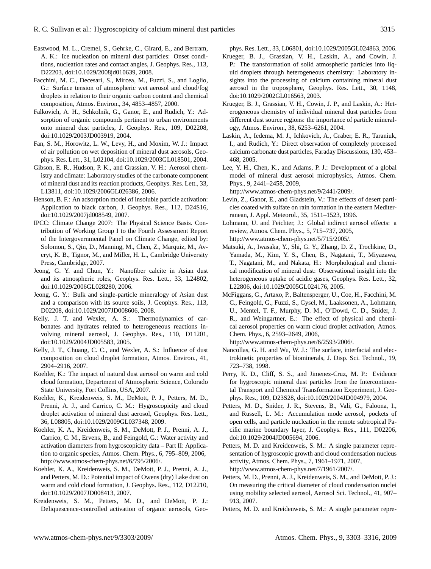- Eastwood, M. L., Cremel, S., Gehrke, C., Girard, E., and Bertram, A. K.: Ice nucleation on mineral dust particles: Onset conditions, nucleation rates and contact angles, J. Geophys. Res., 113, D22203, doi:10.1029/2008jd010639, 2008.
- Facchini, M. C., Decesari, S., Mircea, M., Fuzzi, S., and Loglio, G.: Surface tension of atmospheric wet aerosol and cloud/fog droplets in relation to their organic carbon content and chemical composition, Atmos. Environ., 34, 4853–4857, 2000.
- Falkovich, A. H., Schkolnik, G., Ganor, E., and Rudich, Y.: Adsorption of organic compounds pertinent to urban environments onto mineral dust particles, J. Geophys. Res., 109, D02208, doi:10.1029/2003JD003919, 2004.
- Fan, S. M., Horowitz, L. W., Levy, H., and Moxim, W. J.: Impact of air pollution on wet deposition of mineral dust aerosols, Geophys. Res. Lett., 31, L02104, doi:10.1029/2003GL018501, 2004.
- Gibson, E. R., Hudson, P. K., and Grassian, V. H.: Aerosol chemistry and climate: Laboratory studies of the carbonate component of mineral dust and its reaction products, Geophys. Res. Lett., 33, L13811, doi:10.1029/2006GL026386, 2006.
- Henson, B. F.: An adsorption model of insoluble particle activation: Application to black carbon, J. Geophys. Res., 112, D24S16, doi:10.1029/2007jd008549, 2007.
- IPCC: Climate Change 2007: The Physical Science Basis. Contribution of Working Group I to the Fourth Assessment Report of the Intergovernmental Panel on Climate Change, edited by: Solomon, S., Qin, D., Manning, M., Chen, Z., Marquiz, M., Averyt, K. B., Tignor, M., and Miller, H. L., Cambridge University Press, Cambridge, 2007.
- Jeong, G. Y. and Chun, Y.: Nanofiber calcite in Asian dust and its atmospheric roles, Geophys. Res. Lett., 33, L24802, doi:10.1029/2006GL028280, 2006.
- Jeong, G. Y.: Bulk and single-particle mineralogy of Asian dust and a comparison with its source soils, J. Geophys. Res., 113, D02208, doi:10.1029/2007JD008606, 2008.
- Kelly, J. T. and Wexler, A. S.: Thermodynamics of carbonates and hydrates related to heterogeneous reactions involving mineral aerosol, J. Geophys. Res., 110, D11201, doi:10.1029/2004JD005583, 2005.
- Kelly, J. T., Chuang, C. C., and Wexler, A. S.: Influence of dust composition on cloud droplet formation, Atmos. Environ., 41, 2904–2916, 2007.
- Koehler, K.: The impact of natural dust aerosol on warm and cold cloud formation, Department of Atmospheric Science, Colorado State University, Fort Collins, USA, 2007.
- Koehler, K., Kreidenweis, S. M., DeMott, P. J., Petters, M. D., Prenni, A. J., and Carrico, C. M.: Hygroscopicity and cloud droplet activation of mineral dust aerosol, Geophys. Res. Lett., 36, L08805, doi:10.1029/2009GL037348, 2009.
- Koehler, K. A., Kreidenweis, S. M., DeMott, P. J., Prenni, A. J., Carrico, C. M., Ervens, B., and Feingold, G.: Water activity and activation diameters from hygroscopicity data – Part II: Application to organic species, Atmos. Chem. Phys., 6, 795–809, 2006, [http://www.atmos-chem-phys.net/6/795/2006/.](http://www.atmos-chem-phys.net/6/795/2006/)
- Koehler, K. A., Kreidenweis, S. M., DeMott, P. J., Prenni, A. J., and Petters, M. D.: Potential impact of Owens (dry) Lake dust on warm and cold cloud formation, J. Geophys. Res., 112, D12210, doi:10.1029/2007JD008413, 2007.
- Kreidenweis, S. M., Petters, M. D., and DeMott, P. J.: Deliquescence-controlled activation of organic aerosols, Geo-

phys. Res. Lett., 33, L06801, doi:10.1029/2005GL024863, 2006.

- Krueger, B. J., Grassian, V. H., Laskin, A., and Cowin, J. P.: The transformation of solid atmospheric particles into liquid droplets through heterogeneous chemistry: Laboratory insights into the processing of calcium containing mineral dust aerosol in the troposphere, Geophys. Res. Lett., 30, 1148, doi:10.1029/2002GL016563, 2003.
- Krueger, B. J., Grassian, V. H., Cowin, J. P., and Laskin, A.: Heterogeneous chemistry of individual mineral dust particles from different dust source regions: the importance of particle mineralogy, Atmos. Environ., 38, 6253–6261, 2004.
- Laskin, A., Iedema, M. J., Ichkovich, A., Graber, E. R., Taraniuk, I., and Rudich, Y.: Direct observation of completely processed calcium carbonate dust particles, Faraday Discussions, 130, 453– 468, 2005.
- Lee, Y. H., Chen, K., and Adams, P. J.: Development of a global model of mineral dust aerosol microphysics, Atmos. Chem. Phys., 9, 2441–2458, 2009,

[http://www.atmos-chem-phys.net/9/2441/2009/.](http://www.atmos-chem-phys.net/9/2441/2009/)

- Levin, Z., Ganor, E., and Gladstein, V.: The effects of desert particles coated with sulfate on rain formation in the eastern Mediterranean, J. Appl. Meteorol., 35, 1511–1523, 1996.
- Lohmann, U. and Feichter, J.: Global indirect aerosol effects: a review, Atmos. Chem. Phys., 5, 715–737, 2005, [http://www.atmos-chem-phys.net/5/715/2005/.](http://www.atmos-chem-phys.net/5/715/2005/)
- Matsuki, A., Iwasaka, Y., Shi, G. Y., Zhang, D. Z., Trochkine, D., Yamada, M., Kim, Y. S., Chen, B., Nagatani, T., Miyazawa, T., Nagatani, M., and Nakata, H.: Morphological and chemical modification of mineral dust: Observational insight into the heterogeneous uptake of acidic gases, Geophys. Res. Lett., 32, L22806, doi:10.1029/2005GL024176, 2005.
- McFiggans, G., Artaxo, P., Baltensperger, U., Coe, H., Facchini, M. C., Feingold, G., Fuzzi, S., Gysel, M., Laaksonen, A., Lohmann, U., Mentel, T. F., Murphy, D. M., O'Dowd, C. D., Snider, J. R., and Weingartner, E.: The effect of physical and chemical aerosol properties on warm cloud droplet activation, Atmos. Chem. Phys., 6, 2593–2649, 2006,

[http://www.atmos-chem-phys.net/6/2593/2006/.](http://www.atmos-chem-phys.net/6/2593/2006/)

- Nancollas, G. H. and Wu, W. J.: The surface, interfacial and electrokinetic properties of biominerals, J. Disp. Sci. Technol., 19, 723–738, 1998.
- Perry, K. D., Cliff, S. S., and Jimenez-Cruz, M. P.: Evidence for hygroscopic mineral dust particles from the Intercontinental Transport and Chemical Transformation Experiment, J. Geophys. Res., 109, D23S28, doi:10.1029/2004JD004979, 2004.
- Petters, M. D., Snider, J. R., Stevens, B., Vali, G., Faloona, I., and Russell, L. M.: Accumulation mode aerosol, pockets of open cells, and particle nucleation in the remote subtropical Pacific marine boundary layer, J. Geophys. Res., 111, D02206, doi:10.1029/2004JD005694, 2006.
- Petters, M. D. and Kreidenweis, S. M.: A single parameter representation of hygroscopic growth and cloud condensation nucleus activity, Atmos. Chem. Phys., 7, 1961–1971, 2007, [http://www.atmos-chem-phys.net/7/1961/2007/.](http://www.atmos-chem-phys.net/7/1961/2007/)
- Petters, M. D., Prenni, A. J., Kreidenweis, S. M., and DeMott, P. J.: On measuring the critical diameter of cloud condensation nuclei using mobility selected aerosol, Aerosol Sci. Technol., 41, 907– 913, 2007.
- Petters, M. D. and Kreidenweis, S. M.: A single parameter repre-